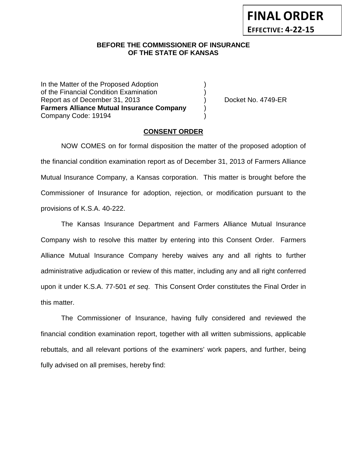## **BEFORE THE COMMISSIONER OF INSURANCE OF THE STATE OF KANSAS**

In the Matter of the Proposed Adoption of the Financial Condition Examination ) Report as of December 31, 2013 (and Separation Cooket No. 4749-ER **Farmers Alliance Mutual Insurance Company** ) Company Code: 19194 )

### **CONSENT ORDER**

NOW COMES on for formal disposition the matter of the proposed adoption of the financial condition examination report as of December 31, 2013 of Farmers Alliance Mutual Insurance Company, a Kansas corporation. This matter is brought before the Commissioner of Insurance for adoption, rejection, or modification pursuant to the provisions of K.S.A. 40-222.

The Kansas Insurance Department and Farmers Alliance Mutual Insurance Company wish to resolve this matter by entering into this Consent Order. Farmers Alliance Mutual Insurance Company hereby waives any and all rights to further administrative adjudication or review of this matter, including any and all right conferred upon it under K.S.A. 77-501 *et seq*. This Consent Order constitutes the Final Order in this matter.

The Commissioner of Insurance, having fully considered and reviewed the financial condition examination report, together with all written submissions, applicable rebuttals, and all relevant portions of the examiners' work papers, and further, being fully advised on all premises, hereby find: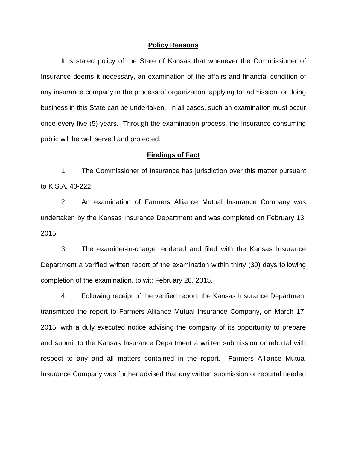#### **Policy Reasons**

It is stated policy of the State of Kansas that whenever the Commissioner of Insurance deems it necessary, an examination of the affairs and financial condition of any insurance company in the process of organization, applying for admission, or doing business in this State can be undertaken. In all cases, such an examination must occur once every five (5) years. Through the examination process, the insurance consuming public will be well served and protected.

#### **Findings of Fact**

1. The Commissioner of Insurance has jurisdiction over this matter pursuant to K.S.A. 40-222.

2. An examination of Farmers Alliance Mutual Insurance Company was undertaken by the Kansas Insurance Department and was completed on February 13, 2015.

3. The examiner-in-charge tendered and filed with the Kansas Insurance Department a verified written report of the examination within thirty (30) days following completion of the examination, to wit; February 20, 2015.

4. Following receipt of the verified report, the Kansas Insurance Department transmitted the report to Farmers Alliance Mutual Insurance Company, on March 17, 2015, with a duly executed notice advising the company of its opportunity to prepare and submit to the Kansas Insurance Department a written submission or rebuttal with respect to any and all matters contained in the report. Farmers Alliance Mutual Insurance Company was further advised that any written submission or rebuttal needed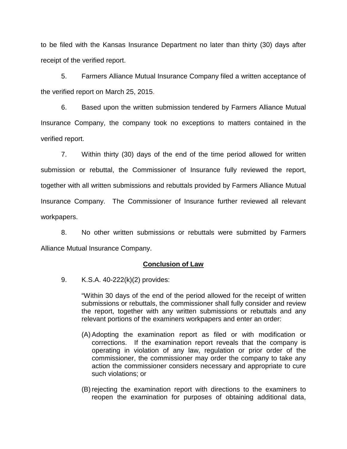to be filed with the Kansas Insurance Department no later than thirty (30) days after receipt of the verified report.

5. Farmers Alliance Mutual Insurance Company filed a written acceptance of the verified report on March 25, 2015.

6. Based upon the written submission tendered by Farmers Alliance Mutual Insurance Company, the company took no exceptions to matters contained in the verified report.

7. Within thirty (30) days of the end of the time period allowed for written submission or rebuttal, the Commissioner of Insurance fully reviewed the report, together with all written submissions and rebuttals provided by Farmers Alliance Mutual Insurance Company. The Commissioner of Insurance further reviewed all relevant workpapers.

8. No other written submissions or rebuttals were submitted by Farmers Alliance Mutual Insurance Company.

### **Conclusion of Law**

9. K.S.A. 40-222(k)(2) provides:

"Within 30 days of the end of the period allowed for the receipt of written submissions or rebuttals, the commissioner shall fully consider and review the report, together with any written submissions or rebuttals and any relevant portions of the examiners workpapers and enter an order:

- (A) Adopting the examination report as filed or with modification or corrections. If the examination report reveals that the company is operating in violation of any law, regulation or prior order of the commissioner, the commissioner may order the company to take any action the commissioner considers necessary and appropriate to cure such violations; or
- (B) rejecting the examination report with directions to the examiners to reopen the examination for purposes of obtaining additional data,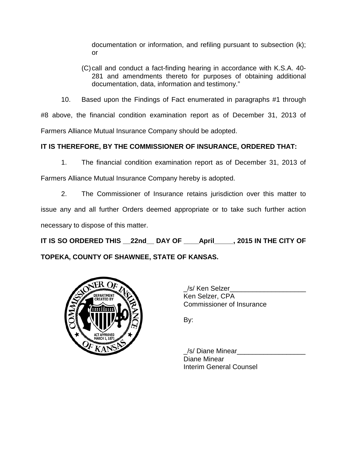documentation or information, and refiling pursuant to subsection (k); or

(C)call and conduct a fact-finding hearing in accordance with K.S.A. 40- 281 and amendments thereto for purposes of obtaining additional documentation, data, information and testimony."

10. Based upon the Findings of Fact enumerated in paragraphs #1 through #8 above, the financial condition examination report as of December 31, 2013 of Farmers Alliance Mutual Insurance Company should be adopted.

# **IT IS THEREFORE, BY THE COMMISSIONER OF INSURANCE, ORDERED THAT:**

1. The financial condition examination report as of December 31, 2013 of

Farmers Alliance Mutual Insurance Company hereby is adopted.

2. The Commissioner of Insurance retains jurisdiction over this matter to issue any and all further Orders deemed appropriate or to take such further action necessary to dispose of this matter.

**IT IS SO ORDERED THIS \_\_22nd\_\_ DAY OF \_\_\_\_April\_\_\_\_\_, 2015 IN THE CITY OF** 

**TOPEKA, COUNTY OF SHAWNEE, STATE OF KANSAS.**



/s/ Ken Selzer Ken Selzer, CPA Commissioner of Insurance

By:

/s/ Diane Minear Diane Minear Interim General Counsel